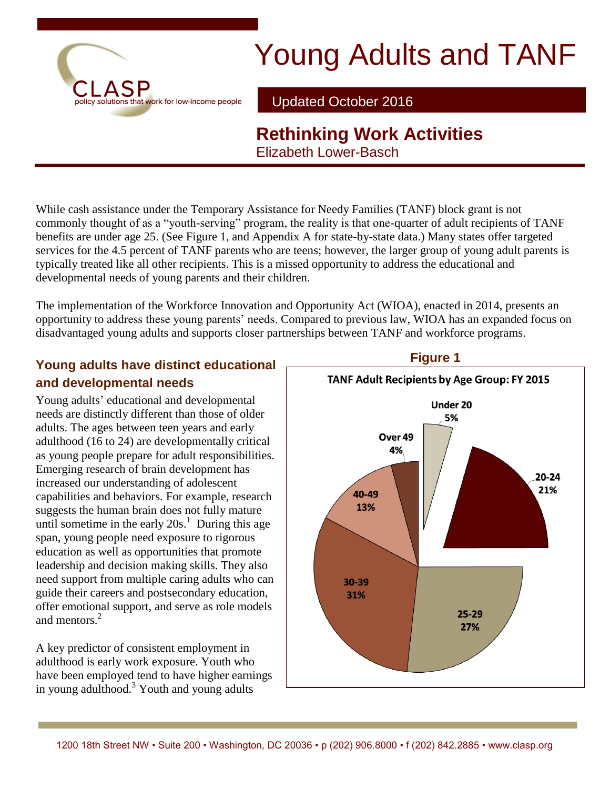

# Young Adults and TANF

Updated October 2016

## **Rethinking Work Activities** Elizabeth Lower-Basch

While cash assistance under the Temporary Assistance for Needy Families (TANF) block grant is not commonly thought of as a "youth-serving" program, the reality is that one-quarter of adult recipients of TANF benefits are under age 25. (See Figure 1, and Appendix A for state-by-state data.) Many states offer targeted services for the 4.5 percent of TANF parents who are teens; however, the larger group of young adult parents is typically treated like all other recipients. This is a missed opportunity to address the educational and developmental needs of young parents and their children.

The implementation of the Workforce Innovation and Opportunity Act (WIOA), enacted in 2014, presents an opportunity to address these young parents' needs. Compared to previous law, WIOA has an expanded focus on disadvantaged young adults and supports closer partnerships between TANF and workforce programs.

### **Young adults have distinct educational and developmental needs**

Young adults' educational and developmental needs are distinctly different than those of older adults. The ages between teen years and early adulthood (16 to 24) are developmentally critical as young people prepare for adult responsibilities. Emerging research of brain development has increased our understanding of adolescent capabilities and behaviors. For example, research suggests the human brain does not fully mature until sometime in the early  $20s<sup>1</sup>$ . During this age span, young people need exposure to rigorous education as well as opportunities that promote leadership and decision making skills. They also need support from multiple caring adults who can guide their careers and postsecondary education, offer emotional support, and serve as role models and mentors<sup>2</sup>

A key predictor of consistent employment in adulthood is early work exposure. Youth who have been employed tend to have higher earnings in young adulthood. $3$  Youth and young adults



### **Figure 1**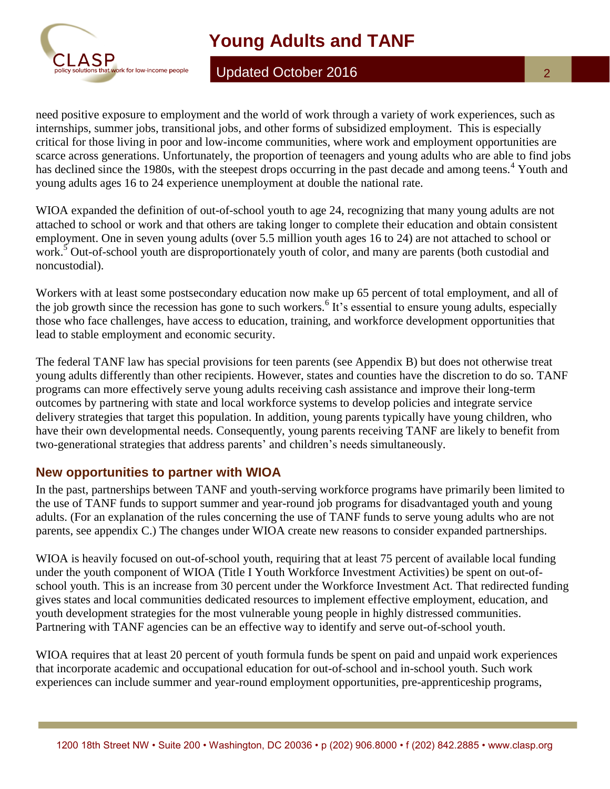

# **Young Adults and TANF**

Updated October 2016

need positive exposure to employment and the world of work through a variety of work experiences, such as internships, summer jobs, transitional jobs, and other forms of subsidized employment. This is especially critical for those living in poor and low-income communities, where work and employment opportunities are scarce across generations. Unfortunately, the proportion of teenagers and young adults who are able to find jobs has declined since the 1980s, with the steepest drops occurring in the past decade and among teens.<sup>4</sup> Youth and young adults ages 16 to 24 experience unemployment at double the national rate.

WIOA expanded the definition of out-of-school youth to age 24, recognizing that many young adults are not attached to school or work and that others are taking longer to complete their education and obtain consistent employment. One in seven young adults (over 5.5 million youth ages 16 to 24) are not attached to school or work.<sup>5</sup> Out-of-school youth are disproportionately youth of color, and many are parents (both custodial and noncustodial).

Workers with at least some postsecondary education now make up 65 percent of total employment, and all of the job growth since the recession has gone to such workers.<sup>6</sup> It's essential to ensure young adults, especially those who face challenges, have access to education, training, and workforce development opportunities that lead to stable employment and economic security.

The federal TANF law has special provisions for teen parents (see Appendix B) but does not otherwise treat young adults differently than other recipients. However, states and counties have the discretion to do so. TANF programs can more effectively serve young adults receiving cash assistance and improve their long-term outcomes by partnering with state and local workforce systems to develop policies and integrate service delivery strategies that target this population. In addition, young parents typically have young children, who have their own developmental needs. Consequently, young parents receiving TANF are likely to benefit from two-generational strategies that address parents' and children's needs simultaneously.

### **New opportunities to partner with WIOA**

In the past, partnerships between TANF and youth-serving workforce programs have primarily been limited to the use of TANF funds to support summer and year-round job programs for disadvantaged youth and young adults. (For an explanation of the rules concerning the use of TANF funds to serve young adults who are not parents, see appendix C.) The changes under WIOA create new reasons to consider expanded partnerships.

WIOA is heavily focused on out-of-school youth, requiring that at least 75 percent of available local funding under the youth component of WIOA (Title I Youth Workforce Investment Activities) be spent on out-ofschool youth. This is an increase from 30 percent under the Workforce Investment Act. That redirected funding gives states and local communities dedicated resources to implement effective employment, education, and youth development strategies for the most vulnerable young people in highly distressed communities. Partnering with TANF agencies can be an effective way to identify and serve out-of-school youth.

WIOA requires that at least 20 percent of youth formula funds be spent on paid and unpaid work experiences that incorporate academic and occupational education for out-of-school and in-school youth. Such work experiences can include summer and year-round employment opportunities, pre-apprenticeship programs,

 $\overline{2}$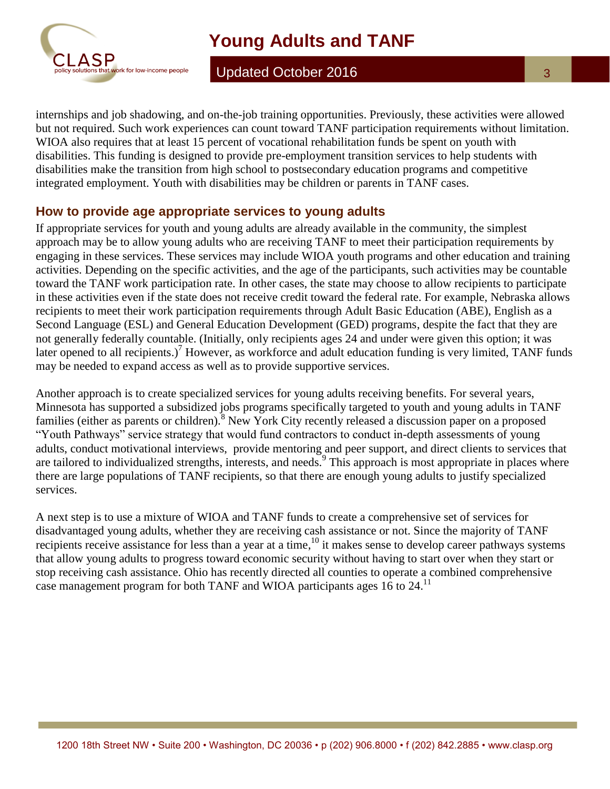

Updated October 2016

internships and job shadowing, and on-the-job training opportunities. Previously, these activities were allowed but not required. Such work experiences can count toward TANF participation requirements without limitation. WIOA also requires that at least 15 percent of vocational rehabilitation funds be spent on youth with disabilities. This funding is designed to provide pre-employment transition services to help students with disabilities make the transition from high school to postsecondary education programs and competitive integrated employment. Youth with disabilities may be children or parents in TANF cases.

#### **How to provide age appropriate services to young adults**

If appropriate services for youth and young adults are already available in the community, the simplest approach may be to allow young adults who are receiving TANF to meet their participation requirements by engaging in these services. These services may include WIOA youth programs and other education and training activities. Depending on the specific activities, and the age of the participants, such activities may be countable toward the TANF work participation rate. In other cases, the state may choose to allow recipients to participate in these activities even if the state does not receive credit toward the federal rate. For example, Nebraska allows recipients to meet their work participation requirements through Adult Basic Education (ABE), English as a Second Language (ESL) and General Education Development (GED) programs, despite the fact that they are not generally federally countable. (Initially, only recipients ages 24 and under were given this option; it was later opened to all recipients.)<sup>7</sup> However, as workforce and adult education funding is very limited, TANF funds may be needed to expand access as well as to provide supportive services.

Another approach is to create specialized services for young adults receiving benefits. For several years, Minnesota has supported a subsidized jobs programs specifically targeted to youth and young adults in TANF families (either as parents or children).<sup>8</sup> New York City recently released a discussion paper on a proposed "Youth Pathways" service strategy that would fund contractors to conduct in-depth assessments of young adults, conduct motivational interviews, provide mentoring and peer support, and direct clients to services that are tailored to individualized strengths, interests, and needs.  $9^{\circ}$  This approach is most appropriate in places where there are large populations of TANF recipients, so that there are enough young adults to justify specialized services.

A next step is to use a mixture of WIOA and TANF funds to create a comprehensive set of services for disadvantaged young adults, whether they are receiving cash assistance or not. Since the majority of TANF recipients receive assistance for less than a year at a time,<sup>10</sup> it makes sense to develop career pathways systems that allow young adults to progress toward economic security without having to start over when they start or stop receiving cash assistance. Ohio has recently directed all counties to operate a combined comprehensive case management program for both TANF and WIOA participants ages 16 to 24.<sup>11</sup>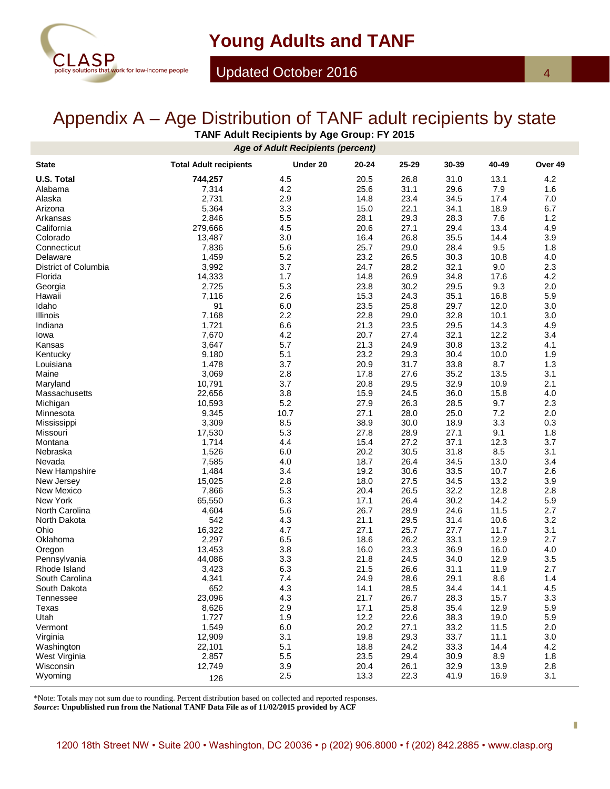

# Appendix A – Age Distribution of TANF adult recipients by state

**TANF Adult Recipients by Age Group: FY 2015**

| <b>Age of Adult Recipients (percent)</b> |                               |            |              |              |              |              |            |
|------------------------------------------|-------------------------------|------------|--------------|--------------|--------------|--------------|------------|
| <b>State</b>                             | <b>Total Adult recipients</b> | Under 20   | 20-24        | 25-29        | 30-39        | 40-49        | Over 49    |
| <b>U.S. Total</b>                        | 744,257                       | 4.5        | 20.5         | 26.8         | 31.0         | 13.1         | 4.2        |
| Alabama                                  | 7,314                         | 4.2        | 25.6         | 31.1         | 29.6         | 7.9          | 1.6        |
| Alaska                                   | 2,731                         | 2.9        | 14.8         | 23.4         | 34.5         | 17.4         | 7.0        |
| Arizona                                  | 5,364                         | 3.3        | 15.0         | 22.1         | 34.1         | 18.9         | 6.7        |
| Arkansas                                 | 2,846                         | 5.5        | 28.1         | 29.3         | 28.3         | 7.6          | 1.2        |
| California                               | 279,666                       | 4.5        | 20.6         | 27.1         | 29.4         | 13.4         | 4.9        |
| Colorado                                 | 13,487                        | 3.0        | 16.4         | 26.8         | 35.5         | 14.4         | 3.9        |
| Connecticut                              | 7,836                         | 5.6        | 25.7         | 29.0         | 28.4         | 9.5          | 1.8        |
| Delaware                                 | 1,459                         | 5.2        | 23.2         | 26.5         | 30.3         | 10.8         | 4.0        |
| District of Columbia                     | 3,992                         | 3.7        | 24.7         | 28.2         | 32.1         | 9.0          | 2.3        |
| Florida                                  | 14,333                        | 1.7        | 14.8         | 26.9         | 34.8         | 17.6         | 4.2        |
| Georgia                                  | 2,725                         | 5.3        | 23.8         | 30.2         | 29.5         | 9.3          | 2.0        |
| Hawaii                                   | 7,116                         | 2.6        | 15.3         | 24.3         | 35.1         | 16.8         | 5.9        |
| Idaho                                    | 91                            | 6.0        | 23.5         | 25.8         | 29.7         | 12.0         | 3.0        |
| Illinois                                 | 7,168                         | 2.2        | 22.8         | 29.0         | 32.8         | 10.1         | 3.0        |
| Indiana                                  | 1,721                         | 6.6        | 21.3         | 23.5         | 29.5         | 14.3         | 4.9        |
| Iowa                                     | 7,670                         | 4.2        | 20.7         | 27.4         | 32.1         | 12.2         | 3.4        |
| Kansas                                   | 3,647                         | 5.7        | 21.3         | 24.9         | 30.8         | 13.2         | 4.1        |
| Kentucky                                 | 9,180                         | 5.1        | 23.2         | 29.3         | 30.4         | 10.0         | 1.9        |
| Louisiana                                | 1,478                         | 3.7        | 20.9         | 31.7         | 33.8         | 8.7          | 1.3        |
| Maine                                    | 3,069                         | 2.8        | 17.8         | 27.6         | 35.2         | 13.5         | 3.1        |
| Maryland                                 | 10,791                        | 3.7        | 20.8         | 29.5         | 32.9         | 10.9         | 2.1        |
| Massachusetts                            | 22,656                        | 3.8        | 15.9         | 24.5         | 36.0         | 15.8         | 4.0        |
| Michigan                                 | 10,593                        | 5.2        | 27.9         | 26.3         | 28.5         | 9.7          | 2.3        |
| Minnesota                                | 9,345                         | 10.7       | 27.1         | 28.0         | 25.0         | 7.2          | 2.0        |
| Mississippi                              | 3,309                         | 8.5        | 38.9         | 30.0         | 18.9         | 3.3          | 0.3        |
| Missouri                                 | 17,530                        | 5.3        | 27.8         | 28.9         | 27.1         | 9.1          | 1.8        |
| Montana                                  | 1,714                         | 4.4        | 15.4         | 27.2         | 37.1         | 12.3         | 3.7        |
| Nebraska                                 | 1,526                         | 6.0        | 20.2         | 30.5         | 31.8         | 8.5          | 3.1        |
| Nevada                                   | 7,585                         | 4.0        | 18.7         | 26.4         | 34.5         | 13.0         | 3.4        |
| New Hampshire                            | 1,484                         | 3.4        | 19.2         | 30.6         | 33.5         | 10.7         | 2.6        |
| New Jersey                               | 15,025                        | 2.8<br>5.3 | 18.0<br>20.4 | 27.5<br>26.5 | 34.5<br>32.2 | 13.2         | 3.9<br>2.8 |
| New Mexico<br>New York                   | 7,866                         |            | 17.1         | 26.4         | 30.2         | 12.8<br>14.2 |            |
| North Carolina                           | 65,550<br>4,604               | 6.3<br>5.6 | 26.7         | 28.9         | 24.6         | 11.5         | 5.9<br>2.7 |
|                                          | 542                           | 4.3        | 21.1         | 29.5         | 31.4         | 10.6         | 3.2        |
| North Dakota<br>Ohio                     | 16,322                        | 4.7        | 27.1         | 25.7         | 27.7         | 11.7         | 3.1        |
| Oklahoma                                 | 2,297                         | 6.5        | 18.6         | 26.2         | 33.1         | 12.9         | 2.7        |
| Oregon                                   | 13,453                        | 3.8        | 16.0         | 23.3         | 36.9         | 16.0         | 4.0        |
| Pennsylvania                             | 44,086                        | 3.3        | 21.8         | 24.5         | 34.0         | 12.9         | 3.5        |
| Rhode Island                             | 3,423                         | 6.3        | 21.5         | 26.6         | 31.1         | 11.9         | 2.7        |
| South Carolina                           | 4,341                         | 7.4        | 24.9         | 28.6         | 29.1         | 8.6          | 1.4        |
| South Dakota                             | 652                           | 4.3        | 14.1         | 28.5         | 34.4         | 14.1         | 4.5        |
| Tennessee                                | 23,096                        | 4.3        | 21.7         | 26.7         | 28.3         | 15.7         | 3.3        |
| Texas                                    | 8,626                         | 2.9        | 17.1         | 25.8         | 35.4         | 12.9         | 5.9        |
| Utah                                     | 1,727                         | 1.9        | 12.2         | 22.6         | 38.3         | 19.0         | 5.9        |
| Vermont                                  | 1,549                         | 6.0        | 20.2         | 27.1         | 33.2         | 11.5         | 2.0        |
| Virginia                                 | 12,909                        | 3.1        | 19.8         | 29.3         | 33.7         | 11.1         | 3.0        |
| Washington                               | 22,101                        | 5.1        | 18.8         | 24.2         | 33.3         | 14.4         | 4.2        |
| West Virginia                            | 2,857                         | 5.5        | 23.5         | 29.4         | 30.9         | 8.9          | 1.8        |
| Wisconsin                                | 12,749                        | 3.9        | 20.4         | 26.1         | 32.9         | 13.9         | 2.8        |
| Wyoming                                  |                               | 2.5        | 13.3         | 22.3         | 41.9         | 16.9         | 3.1        |
|                                          | 126                           |            |              |              |              |              |            |

\*Note: Totals may not sum due to rounding. Percent distribution based on collected and reported responses.

*Source***: Unpublished run from the National TANF Data File as of 11/02/2015 provided by ACF**

4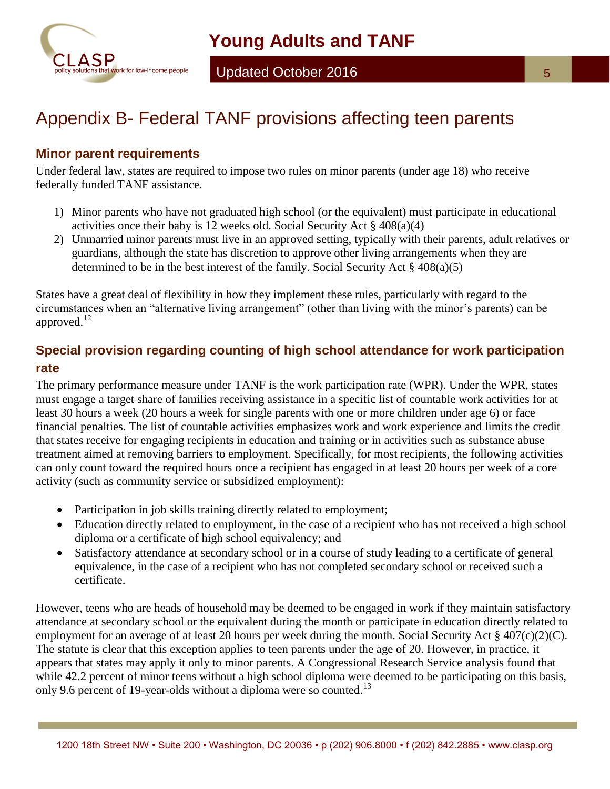

# Appendix B- Federal TANF provisions affecting teen parents

#### **Minor parent requirements**

Under federal law, states are required to impose two rules on minor parents (under age 18) who receive federally funded TANF assistance.

- 1) Minor parents who have not graduated high school (or the equivalent) must participate in educational activities once their baby is 12 weeks old. Social Security Act § 408(a)(4)
- 2) Unmarried minor parents must live in an approved setting, typically with their parents, adult relatives or guardians, although the state has discretion to approve other living arrangements when they are determined to be in the best interest of the family. Social Security Act § 408(a)(5)

States have a great deal of flexibility in how they implement these rules, particularly with regard to the circumstances when an "alternative living arrangement" (other than living with the minor's parents) can be approved. $12$ 

### **Special provision regarding counting of high school attendance for work participation rate**

The primary performance measure under TANF is the work participation rate (WPR). Under the WPR, states must engage a target share of families receiving assistance in a specific list of countable work activities for at least 30 hours a week (20 hours a week for single parents with one or more children under age 6) or face financial penalties. The list of countable activities emphasizes work and work experience and limits the credit that states receive for engaging recipients in education and training or in activities such as substance abuse treatment aimed at removing barriers to employment. Specifically, for most recipients, the following activities can only count toward the required hours once a recipient has engaged in at least 20 hours per week of a core activity (such as community service or subsidized employment):

- Participation in job skills training directly related to employment;
- Education directly related to employment, in the case of a recipient who has not received a high school diploma or a certificate of high school equivalency; and
- Satisfactory attendance at secondary school or in a course of study leading to a certificate of general equivalence, in the case of a recipient who has not completed secondary school or received such a certificate.

However, teens who are heads of household may be deemed to be engaged in work if they maintain satisfactory attendance at secondary school or the equivalent during the month or participate in education directly related to employment for an average of at least 20 hours per week during the month. Social Security Act § 407(c)(2)(C). The statute is clear that this exception applies to teen parents under the age of 20. However, in practice, it appears that states may apply it only to minor parents. A Congressional Research Service analysis found that while 42.2 percent of minor teens without a high school diploma were deemed to be participating on this basis, only 9.6 percent of 19-year-olds without a diploma were so counted.<sup>13</sup>